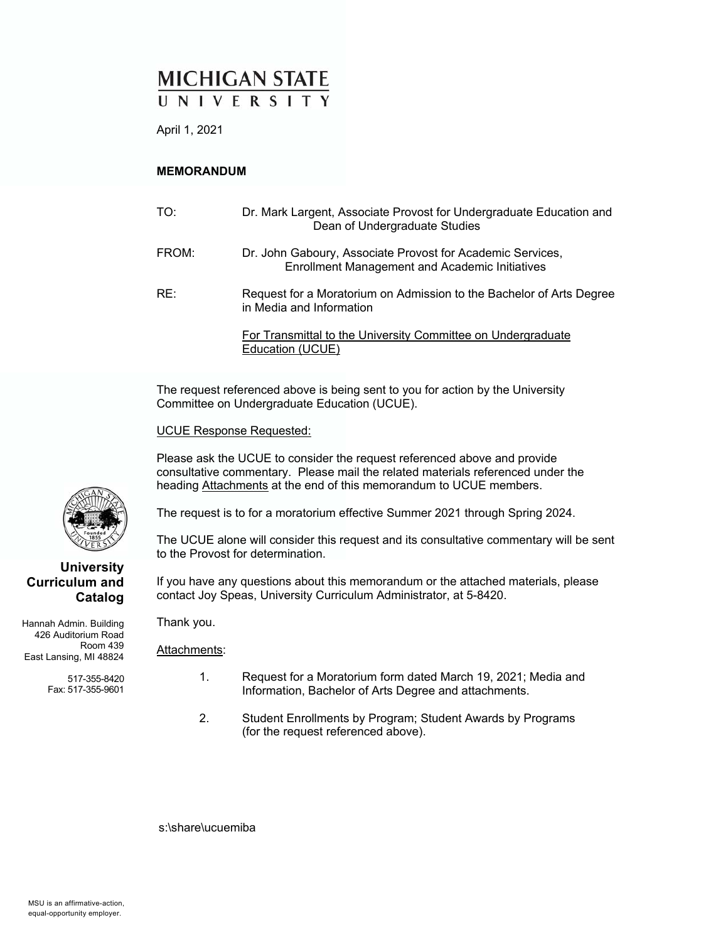# **MICHIGAN STATE**

April 1, 2021

#### **MEMORANDUM**

| TO:   | Dr. Mark Largent, Associate Provost for Undergraduate Education and<br>Dean of Undergraduate Studies                |
|-------|---------------------------------------------------------------------------------------------------------------------|
| FROM: | Dr. John Gaboury, Associate Provost for Academic Services,<br><b>Enrollment Management and Academic Initiatives</b> |
| RE:   | Request for a Moratorium on Admission to the Bachelor of Arts Degree<br>in Media and Information                    |
|       | For Transmittal to the University Committee on Undergraduate<br>Education (UCUE)                                    |

The request referenced above is being sent to you for action by the University Committee on Undergraduate Education (UCUE).

UCUE Response Requested:

Please ask the UCUE to consider the request referenced above and provide consultative commentary. Please mail the related materials referenced under the heading Attachments at the end of this memorandum to UCUE members.

The request is to for a moratorium effective Summer 2021 through Spring 2024.

The UCUE alone will consider this request and its consultative commentary will be sent to the Provost for determination.

If you have any questions about this memorandum or the attached materials, please contact Joy Speas, University Curriculum Administrator, at 5-8420.

Hannah Admin. Building 426 Auditorium Road Room 439 East Lansing, MI 48824

**Curriculum and** 

517-355-8420 Fax: 517-355-9601

Thank you.

Attachments:

- 1. Request for a Moratorium form dated March 19, 2021; Media and Information, Bachelor of Arts Degree and attachments.
- 2. Student Enrollments by Program; Student Awards by Programs (for the request referenced above).

s:\share\ucuemiba

**Catalog**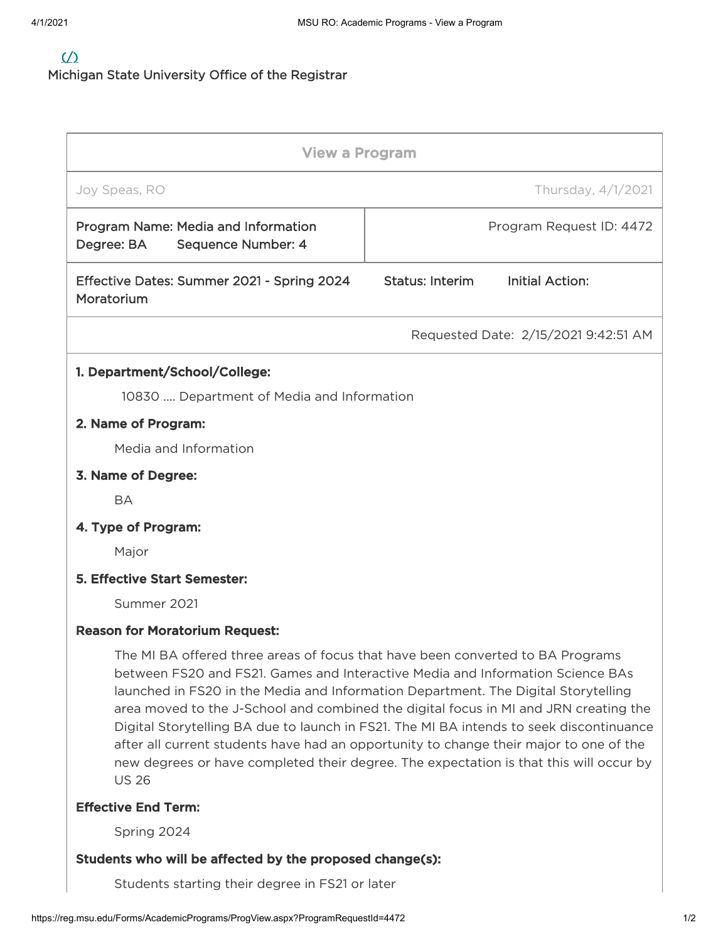## $\sqrt{2}$

Michigan State University Office of the Registrar

| <b>View a Program</b>                                                                                                                                                                                                                                                                                                                                                                                                                                                                                                                                                                                                                         |                                                  |  |  |  |  |  |  |  |
|-----------------------------------------------------------------------------------------------------------------------------------------------------------------------------------------------------------------------------------------------------------------------------------------------------------------------------------------------------------------------------------------------------------------------------------------------------------------------------------------------------------------------------------------------------------------------------------------------------------------------------------------------|--------------------------------------------------|--|--|--|--|--|--|--|
| Joy Speas, RO                                                                                                                                                                                                                                                                                                                                                                                                                                                                                                                                                                                                                                 | Thursday, 4/1/2021                               |  |  |  |  |  |  |  |
| Program Name: Media and Information<br>Degree: BA<br>Sequence Number: 4                                                                                                                                                                                                                                                                                                                                                                                                                                                                                                                                                                       | Program Request ID: 4472                         |  |  |  |  |  |  |  |
| Effective Dates: Summer 2021 - Spring 2024<br>Moratorium                                                                                                                                                                                                                                                                                                                                                                                                                                                                                                                                                                                      | <b>Status: Interim</b><br><b>Initial Action:</b> |  |  |  |  |  |  |  |
|                                                                                                                                                                                                                                                                                                                                                                                                                                                                                                                                                                                                                                               | Requested Date: 2/15/2021 9:42:51 AM             |  |  |  |  |  |  |  |
| 1. Department/School/College:                                                                                                                                                                                                                                                                                                                                                                                                                                                                                                                                                                                                                 |                                                  |  |  |  |  |  |  |  |
| 10830  Department of Media and Information                                                                                                                                                                                                                                                                                                                                                                                                                                                                                                                                                                                                    |                                                  |  |  |  |  |  |  |  |
| 2. Name of Program:                                                                                                                                                                                                                                                                                                                                                                                                                                                                                                                                                                                                                           |                                                  |  |  |  |  |  |  |  |
| Media and Information                                                                                                                                                                                                                                                                                                                                                                                                                                                                                                                                                                                                                         |                                                  |  |  |  |  |  |  |  |
| 3. Name of Degree:                                                                                                                                                                                                                                                                                                                                                                                                                                                                                                                                                                                                                            |                                                  |  |  |  |  |  |  |  |
| <b>BA</b>                                                                                                                                                                                                                                                                                                                                                                                                                                                                                                                                                                                                                                     |                                                  |  |  |  |  |  |  |  |
| 4. Type of Program:                                                                                                                                                                                                                                                                                                                                                                                                                                                                                                                                                                                                                           |                                                  |  |  |  |  |  |  |  |
| Major                                                                                                                                                                                                                                                                                                                                                                                                                                                                                                                                                                                                                                         |                                                  |  |  |  |  |  |  |  |
| <b>5. Effective Start Semester:</b>                                                                                                                                                                                                                                                                                                                                                                                                                                                                                                                                                                                                           |                                                  |  |  |  |  |  |  |  |
| Summer 2021                                                                                                                                                                                                                                                                                                                                                                                                                                                                                                                                                                                                                                   |                                                  |  |  |  |  |  |  |  |
| <b>Reason for Moratorium Request:</b>                                                                                                                                                                                                                                                                                                                                                                                                                                                                                                                                                                                                         |                                                  |  |  |  |  |  |  |  |
| The MI BA offered three areas of focus that have been converted to BA Programs<br>between FS20 and FS21. Games and Interactive Media and Information Science BAs<br>launched in FS20 in the Media and Information Department. The Digital Storytelling<br>area moved to the J-School and combined the digital focus in MI and JRN creating the<br>Digital Storytelling BA due to launch in FS21. The MI BA intends to seek discontinuance<br>after all current students have had an opportunity to change their major to one of the<br>new degrees or have completed their degree. The expectation is that this will occur by<br><b>US 26</b> |                                                  |  |  |  |  |  |  |  |
| <b>Effective End Term:</b>                                                                                                                                                                                                                                                                                                                                                                                                                                                                                                                                                                                                                    |                                                  |  |  |  |  |  |  |  |
| Spring 2024                                                                                                                                                                                                                                                                                                                                                                                                                                                                                                                                                                                                                                   |                                                  |  |  |  |  |  |  |  |

### Students who will be affected by the proposed change(s):

Students starting their degree in FS21 or later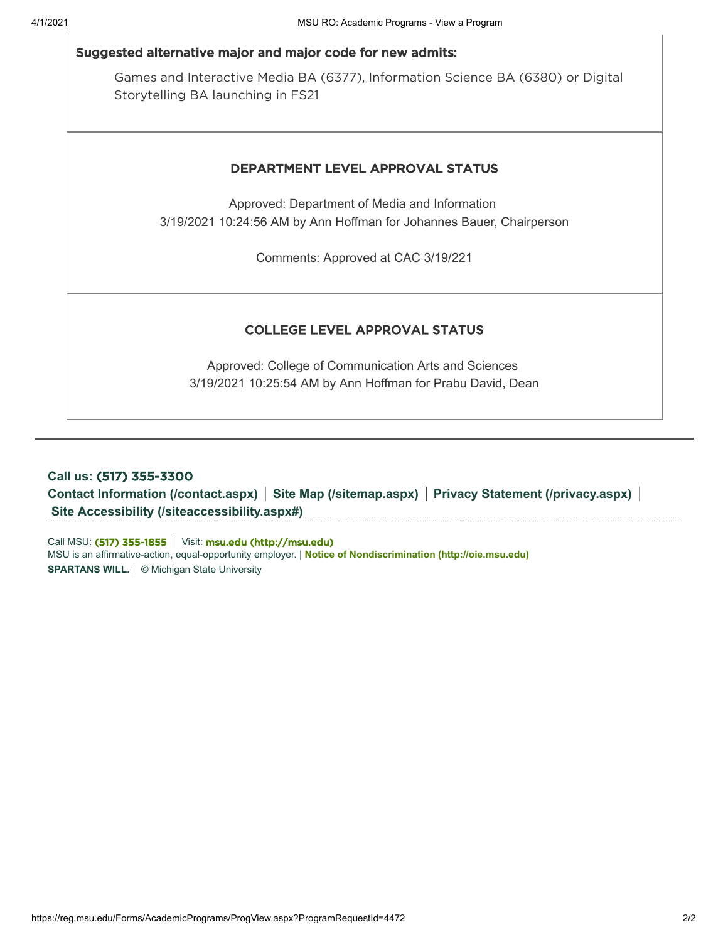#### Suggested alternative major and major code for new admits:

Games and Interactive Media BA (6377), Information Science BA (6380) or Digital Storytelling BA launching in FS21

#### DEPARTMENT LEVEL APPROVAL STATUS

Approved: Department of Media and Information 3/19/2021 10:24:56 AM by Ann Hoffman for Johannes Bauer, Chairperson

Comments: Approved at CAC 3/19/221

#### COLLEGE LEVEL APPROVAL STATUS

Approved: College of Communication Arts and Sciences 3/19/2021 10:25:54 AM by Ann Hoffman for Prabu David, Dean

## **Call us:** (517) 355-3300 **[Contact Information \(/contact.aspx\)](https://reg.msu.edu/contact.aspx) [Site Map \(/sitemap.aspx\)](https://reg.msu.edu/sitemap.aspx) [Privacy Statement \(/privacy.aspx\)](https://reg.msu.edu/privacy.aspx) [Site Accessibility \(/siteaccessibility.aspx#\)](https://reg.msu.edu/siteaccessibility.aspx#)**

MSU is an affirmative-action, equal-opportunity employer. | **[Notice of Nondiscrimination \(http://oie.msu.edu\)](http://oie.msu.edu/)** Call MSU: (517) 355-1855 | Visit: [msu.edu \(http://msu.edu\)](http://msu.edu/) **SPARTANS WILL.** © Michigan State University